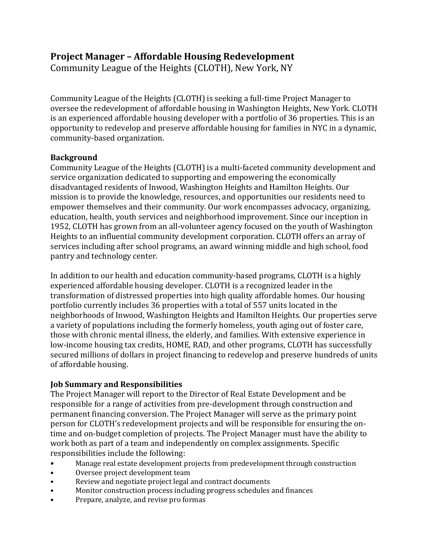## **Project Manager – Affordable Housing Redevelopment**

Community League of the Heights (CLOTH), New York, NY

Community League of the Heights (CLOTH) is seeking a full-time Project Manager to oversee the redevelopment of affordable housing in Washington Heights, New York. CLOTH is an experienced affordable housing developer with a portfolio of 36 properties. This is an opportunity to redevelop and preserve affordable housing for families in NYC in a dynamic, community-based organization.

## **Background**

Community League of the Heights (CLOTH) is a multi-faceted community development and service organization dedicated to supporting and empowering the economically disadvantaged residents of Inwood, Washington Heights and Hamilton Heights. Our mission is to provide the knowledge, resources, and opportunities our residents need to empower themselves and their community. Our work encompasses advocacy, organizing, education, health, youth services and neighborhood improvement. Since our inception in 1952, CLOTH has grown from an all-volunteer agency focused on the youth of Washington Heights to an influential community development corporation. CLOTH offers an array of services including after school programs, an award winning middle and high school, food pantry and technology center.

In addition to our health and education community-based programs, CLOTH is a highly experienced affordable housing developer. CLOTH is a recognized leader in the transformation of distressed properties into high quality affordable homes. Our housing portfolio currently includes 36 properties with a total of 557 units located in the neighborhoods of Inwood, Washington Heights and Hamilton Heights. Our properties serve a variety of populations including the formerly homeless, youth aging out of foster care, those with chronic mental illness, the elderly, and families. With extensive experience in low-income housing tax credits, HOME, RAD, and other programs, CLOTH has successfully secured millions of dollars in project financing to redevelop and preserve hundreds of units of affordable housing.

## **Job Summary and Responsibilities**

The Project Manager will report to the Director of Real Estate Development and be responsible for a range of activities from pre-development through construction and permanent financing conversion. The Project Manager will serve as the primary point person for CLOTH's redevelopment projects and will be responsible for ensuring the ontime and on-budget completion of projects. The Project Manager must have the ability to work both as part of a team and independently on complex assignments. Specific responsibilities include the following:

- Manage real estate development projects from predevelopment through construction<br>• Oversee project development team
- Oversee project development team<br>• Review and negotiate project legal a
- Review and negotiate project legal and contract documents<br>• Monitor construction process including progress schedules
- Monitor construction process including progress schedules and finances
- Prepare, analyze, and revise pro formas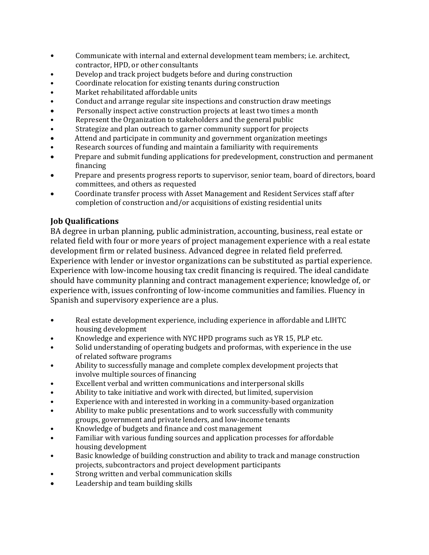- Communicate with internal and external development team members; i.e. architect, contractor, HPD, or other consultants
- Develop and track project budgets before and during construction
- Coordinate relocation for existing tenants during construction
- Market rehabilitated affordable units<br>• Conduct and arrange regular site insp
- Conduct and arrange regular site inspections and construction draw meetings
- Personally inspect active construction projects at least two times a month<br>• Represent the Organization to stakeholders and the general public
- Represent the Organization to stakeholders and the general public<br>• Strategize and plan outreach to garner community support for proi
- Strategize and plan outreach to garner community support for projects<br>• Attend and participate in community and government organization mee
- Attend and participate in community and government organization meetings<br>• Research sources of funding and maintain a familiarity with requirements
- Research sources of funding and maintain a familiarity with requirements
- Prepare and submit funding applications for predevelopment, construction and permanent financing
- Prepare and presents progress reports to supervisor, senior team, board of directors, board committees, and others as requested
- Coordinate transfer process with Asset Management and Resident Services staff after completion of construction and/or acquisitions of existing residential units

## **Job Qualifications**

BA degree in urban planning, public administration, accounting, business, real estate or related field with four or more years of project management experience with a real estate development firm or related business. Advanced degree in related field preferred. Experience with lender or investor organizations can be substituted as partial experience. Experience with low-income housing tax credit financing is required. The ideal candidate should have community planning and contract management experience; knowledge of, or experience with, issues confronting of low-income communities and families. Fluency in Spanish and supervisory experience are a plus.

- Real estate development experience, including experience in affordable and LIHTC housing development
- Knowledge and experience with NYC HPD programs such as YR 15, PLP etc.
- Solid understanding of operating budgets and proformas, with experience in the use of related software programs
- Ability to successfully manage and complete complex development projects that involve multiple sources of financing
- Excellent verbal and written communications and interpersonal skills<br>• Ability to take initiative and work with directed but limited supervision
- Ability to take initiative and work with directed, but limited, supervision<br>• Experience with and interested in working in a community-based organiz
- Experience with and interested in working in a community-based organization
- Ability to make public presentations and to work successfully with community groups, government and private lenders, and low-income tenants
- Knowledge of budgets and finance and cost management
- Familiar with various funding sources and application processes for affordable housing development
- Basic knowledge of building construction and ability to track and manage construction projects, subcontractors and project development participants
- Strong written and verbal communication skills
- Leadership and team building skills